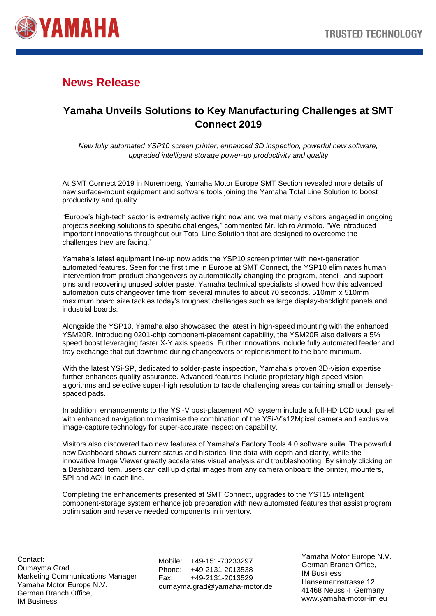

## **News Release**

## **Yamaha Unveils Solutions to Key Manufacturing Challenges at SMT Connect 2019**

*New fully automated YSP10 screen printer, enhanced 3D inspection, powerful new software, upgraded intelligent storage power-up productivity and quality*

At SMT Connect 2019 in Nuremberg, Yamaha Motor Europe SMT Section revealed more details of new surface-mount equipment and software tools joining the Yamaha Total Line Solution to boost productivity and quality.

"Europe's high-tech sector is extremely active right now and we met many visitors engaged in ongoing projects seeking solutions to specific challenges," commented Mr. Ichiro Arimoto. "We introduced important innovations throughout our Total Line Solution that are designed to overcome the challenges they are facing."

Yamaha's latest equipment line-up now adds the YSP10 screen printer with next-generation automated features. Seen for the first time in Europe at SMT Connect, the YSP10 eliminates human intervention from product changeovers by automatically changing the program, stencil, and support pins and recovering unused solder paste. Yamaha technical specialists showed how this advanced automation cuts changeover time from several minutes to about 70 seconds. 510mm x 510mm maximum board size tackles today's toughest challenges such as large display-backlight panels and industrial boards.

Alongside the YSP10, Yamaha also showcased the latest in high-speed mounting with the enhanced YSM20R. Introducing 0201-chip component-placement capability, the YSM20R also delivers a 5% speed boost leveraging faster X-Y axis speeds. Further innovations include fully automated feeder and tray exchange that cut downtime during changeovers or replenishment to the bare minimum.

With the latest YSi-SP, dedicated to solder-paste inspection, Yamaha's proven 3D-vision expertise further enhances quality assurance. Advanced features include proprietary high-speed vision algorithms and selective super-high resolution to tackle challenging areas containing small or denselyspaced pads.

In addition, enhancements to the YSi-V post-placement AOI system include a full-HD LCD touch panel with enhanced navigation to maximise the combination of the YSi-V's12Mpixel camera and exclusive image-capture technology for super-accurate inspection capability.

Visitors also discovered two new features of Yamaha's Factory Tools 4.0 software suite. The powerful new Dashboard shows current status and historical line data with depth and clarity, while the innovative Image Viewer greatly accelerates visual analysis and troubleshooting. By simply clicking on a Dashboard item, users can call up digital images from any camera onboard the printer, mounters, SPI and AOI in each line.

Completing the enhancements presented at SMT Connect, upgrades to the YST15 intelligent component-storage system enhance job preparation with new automated features that assist program optimisation and reserve needed components in inventory.

Contact: Oumayma Grad Marketing Communications Manager Yamaha Motor Europe N.V. German Branch Office, IM Business

Mobile: +49-151-70233297 Phone: +49-2131-2013538 Fax: +49-2131-2013529 oumayma.grad@yamaha-motor.de Yamaha Motor Europe N.V. German Branch Office, IM Business Hansemannstrasse 12 41468 Neuss • Germany www.yamaha-motor-im.eu